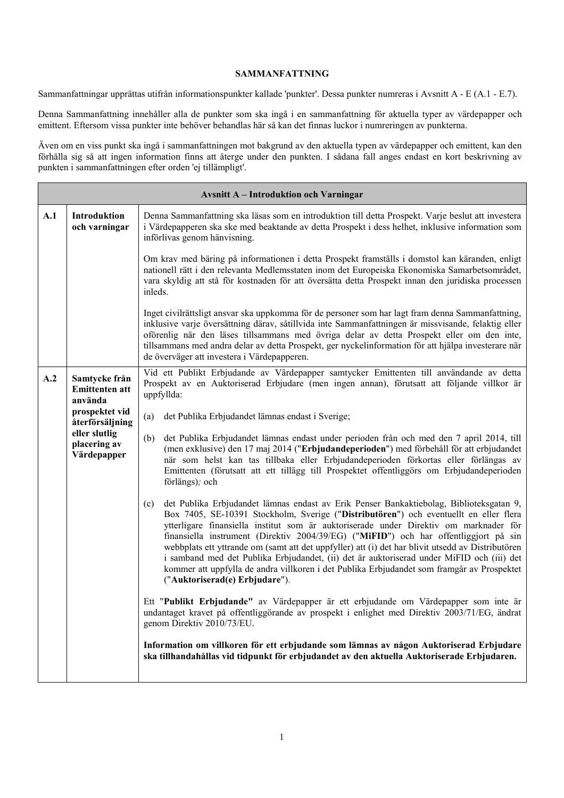## **SAMMANFATTNING**

Sammanfattningar upprättas utifrån informationspunkter kallade 'punkter'. Dessa punkter numreras i Avsnitt A - E (A.1 - E.7).

Denna Sammanfattning innehåller alla de punkter som ska ingå i en sammanfattning för aktuella typer av värdepapper och emittent. Eftersom vissa punkter inte behöver behandlas här så kan det finnas luckor i numreringen av punkterna.

Även om en viss punkt ska ingå i sammanfattningen mot bakgrund av den aktuella typen av värdepapper och emittent, kan den förhålla sig så att ingen information finns att återge under den punkten. I sådana fall anges endast en kort beskrivning av punkten i sammanfattningen efter orden 'ej tillämpligt'.

|     | <b>Avsnitt A - Introduktion och Varningar</b>                                          |                                                                                                                                                                                                                                                                                                                                                                                                                                                                                                                                                                                                                                                                                                            |  |  |  |  |
|-----|----------------------------------------------------------------------------------------|------------------------------------------------------------------------------------------------------------------------------------------------------------------------------------------------------------------------------------------------------------------------------------------------------------------------------------------------------------------------------------------------------------------------------------------------------------------------------------------------------------------------------------------------------------------------------------------------------------------------------------------------------------------------------------------------------------|--|--|--|--|
| A.1 | Introduktion<br>och varningar                                                          | Denna Sammanfattning ska läsas som en introduktion till detta Prospekt. Varje beslut att investera<br>i Värdepapperen ska ske med beaktande av detta Prospekt i dess helhet, inklusive information som<br>införlivas genom hänvisning.                                                                                                                                                                                                                                                                                                                                                                                                                                                                     |  |  |  |  |
|     |                                                                                        | Om krav med bäring på informationen i detta Prospekt framställs i domstol kan käranden, enligt<br>nationell rätt i den relevanta Medlemsstaten inom det Europeiska Ekonomiska Samarbetsområdet,<br>vara skyldig att stå för kostnaden för att översätta detta Prospekt innan den juridiska processen<br>inleds.                                                                                                                                                                                                                                                                                                                                                                                            |  |  |  |  |
|     |                                                                                        | Inget civilrättsligt ansvar ska uppkomma för de personer som har lagt fram denna Sammanfattning,<br>inklusive varje översättning därav, såtillvida inte Sammanfattningen är missvisande, felaktig eller<br>oförenlig när den läses tillsammans med övriga delar av detta Prospekt eller om den inte,<br>tillsammans med andra delar av detta Prospekt, ger nyckelinformation för att hjälpa investerare när<br>de överväger att investera i Värdepapperen.                                                                                                                                                                                                                                                 |  |  |  |  |
| A.2 | Samtycke från<br><b>Emittenten att</b><br>använda<br>prospektet vid<br>återförsäljning | Vid ett Publikt Erbjudande av Värdepapper samtycker Emittenten till användande av detta<br>Prospekt av en Auktoriserad Erbjudare (men ingen annan), förutsatt att följande villkor är<br>uppfyllda:                                                                                                                                                                                                                                                                                                                                                                                                                                                                                                        |  |  |  |  |
|     |                                                                                        | det Publika Erbjudandet lämnas endast i Sverige;<br>(a)                                                                                                                                                                                                                                                                                                                                                                                                                                                                                                                                                                                                                                                    |  |  |  |  |
|     | eller slutlig<br>placering av<br>Värdepapper                                           | det Publika Erbjudandet lämnas endast under perioden från och med den 7 april 2014, till<br>(b)<br>(men exklusive) den 17 maj 2014 ("Erbjudandeperioden") med förbehåll för att erbjudandet<br>när som helst kan tas tillbaka eller Erbjudandeperioden förkortas eller förlängas av<br>Emittenten (förutsatt att ett tillägg till Prospektet offentliggörs om Erbjudandeperioden<br>förlängs); och                                                                                                                                                                                                                                                                                                         |  |  |  |  |
|     |                                                                                        | det Publika Erbjudandet lämnas endast av Erik Penser Bankaktiebolag, Biblioteksgatan 9,<br>(c)<br>Box 7405, SE-10391 Stockholm, Sverige ("Distributören") och eventuellt en eller flera<br>ytterligare finansiella institut som är auktoriserade under Direktiv om marknader för<br>finansiella instrument (Direktiv 2004/39/EG) ("MiFID") och har offentliggjort på sin<br>webbplats ett yttrande om (samt att det uppfyller) att (i) det har blivit utsedd av Distributören<br>i samband med det Publika Erbjudandet, (ii) det är auktoriserad under MiFID och (iii) det<br>kommer att uppfylla de andra villkoren i det Publika Erbjudandet som framgår av Prospektet<br>("Auktoriserad(e) Erbjudare"). |  |  |  |  |
|     |                                                                                        | Ett "Publikt Erbjudande" av Värdepapper är ett erbjudande om Värdepapper som inte är<br>undantaget kravet på offentliggörande av prospekt i enlighet med Direktiv 2003/71/EG, ändrat<br>genom Direktiv 2010/73/EU.                                                                                                                                                                                                                                                                                                                                                                                                                                                                                         |  |  |  |  |
|     |                                                                                        | Information om villkoren för ett erbjudande som lämnas av någon Auktoriserad Erbjudare<br>ska tillhandahållas vid tidpunkt för erbjudandet av den aktuella Auktoriserade Erbjudaren.                                                                                                                                                                                                                                                                                                                                                                                                                                                                                                                       |  |  |  |  |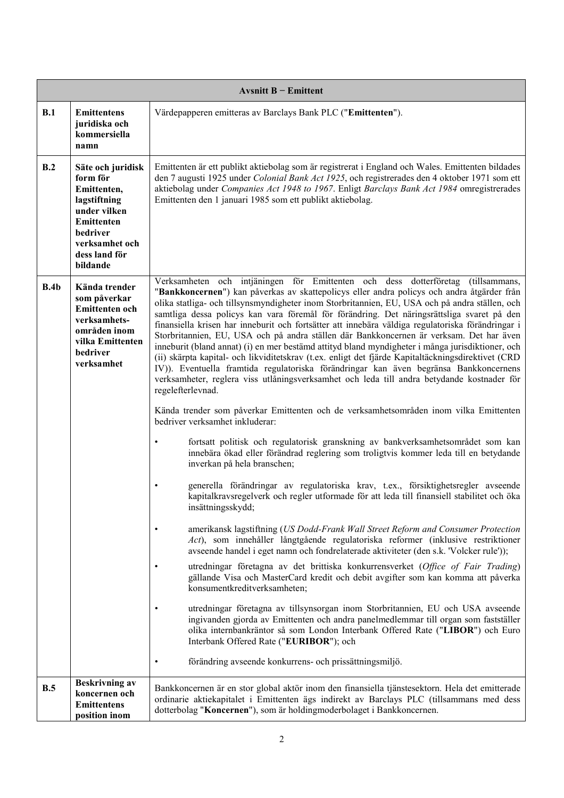|      | Avsnitt $B$ – Emittent                                                                                                                                |                                                                                                                                                                                                                                                                                                                                                                                                                                                                                                                                                                                                                                                                                                                                                                                                                                                                                                                                                                                                                                                                                                                                                                                                                                                                                                                                                                                                                                                                                                                                                                                                                                                                                                                                                                                                                                                                                                                                                                                                                                                                                                                                                                                                                                                                                                                                                                                                                      |  |  |  |
|------|-------------------------------------------------------------------------------------------------------------------------------------------------------|----------------------------------------------------------------------------------------------------------------------------------------------------------------------------------------------------------------------------------------------------------------------------------------------------------------------------------------------------------------------------------------------------------------------------------------------------------------------------------------------------------------------------------------------------------------------------------------------------------------------------------------------------------------------------------------------------------------------------------------------------------------------------------------------------------------------------------------------------------------------------------------------------------------------------------------------------------------------------------------------------------------------------------------------------------------------------------------------------------------------------------------------------------------------------------------------------------------------------------------------------------------------------------------------------------------------------------------------------------------------------------------------------------------------------------------------------------------------------------------------------------------------------------------------------------------------------------------------------------------------------------------------------------------------------------------------------------------------------------------------------------------------------------------------------------------------------------------------------------------------------------------------------------------------------------------------------------------------------------------------------------------------------------------------------------------------------------------------------------------------------------------------------------------------------------------------------------------------------------------------------------------------------------------------------------------------------------------------------------------------------------------------------------------------|--|--|--|
| B.1  | <b>Emittentens</b><br>juridiska och<br>kommersiella<br>namn                                                                                           | Värdepapperen emitteras av Barclays Bank PLC ("Emittenten").                                                                                                                                                                                                                                                                                                                                                                                                                                                                                                                                                                                                                                                                                                                                                                                                                                                                                                                                                                                                                                                                                                                                                                                                                                                                                                                                                                                                                                                                                                                                                                                                                                                                                                                                                                                                                                                                                                                                                                                                                                                                                                                                                                                                                                                                                                                                                         |  |  |  |
| B.2  | Säte och juridisk<br>form för<br>Emittenten,<br>lagstiftning<br>under vilken<br>Emittenten<br>bedriver<br>verksamhet och<br>dess land för<br>bildande | Emittenten är ett publikt aktiebolag som är registrerat i England och Wales. Emittenten bildades<br>den 7 augusti 1925 under Colonial Bank Act 1925, och registrerades den 4 oktober 1971 som ett<br>aktiebolag under Companies Act 1948 to 1967. Enligt Barclays Bank Act 1984 omregistrerades<br>Emittenten den 1 januari 1985 som ett publikt aktiebolag.                                                                                                                                                                                                                                                                                                                                                                                                                                                                                                                                                                                                                                                                                                                                                                                                                                                                                                                                                                                                                                                                                                                                                                                                                                                                                                                                                                                                                                                                                                                                                                                                                                                                                                                                                                                                                                                                                                                                                                                                                                                         |  |  |  |
| B.4b | Kända trender<br>som påverkar<br>Emittenten och<br>verksamhets-<br>områden inom<br>vilka Emittenten<br>bedriver<br>verksamhet                         | Verksamheten och intjäningen för Emittenten och dess dotterföretag<br>(tillsammans,<br>"Bankkoncernen") kan påverkas av skattepolicys eller andra policys och andra åtgärder från<br>olika statliga- och tillsynsmyndigheter inom Storbritannien, EU, USA och på andra ställen, och<br>samtliga dessa policys kan vara föremål för förändring. Det näringsrättsliga svaret på den<br>finansiella krisen har inneburit och fortsätter att innebära väldiga regulatoriska förändringar i<br>Storbritannien, EU, USA och på andra ställen där Bankkoncernen är verksam. Det har även<br>inneburit (bland annat) (i) en mer bestämd attityd bland myndigheter i många jurisdiktioner, och<br>(ii) skärpta kapital- och likviditetskrav (t.ex. enligt det fjärde Kapitaltäckningsdirektivet (CRD<br>IV)). Eventuella framtida regulatoriska förändringar kan även begränsa Bankkoncernens<br>verksamheter, reglera viss utlåningsverksamhet och leda till andra betydande kostnader för<br>regelefterlevnad.<br>Kända trender som påverkar Emittenten och de verksamhetsområden inom vilka Emittenten<br>bedriver verksamhet inkluderar:<br>fortsatt politisk och regulatorisk granskning av bankverksamhetsområdet som kan<br>٠<br>innebära ökad eller förändrad reglering som troligtvis kommer leda till en betydande<br>inverkan på hela branschen;<br>generella förändringar av regulatoriska krav, t.ex., försiktighetsregler avseende<br>kapitalkravsregelverk och regler utformade för att leda till finansiell stabilitet och öka<br>insättningsskydd;<br>amerikansk lagstiftning (US Dodd-Frank Wall Street Reform and Consumer Protection<br>Act), som innehåller långtgående regulatoriska reformer (inklusive restriktioner<br>avseende handel i eget namn och fondrelaterade aktiviteter (den s.k. 'Volcker rule'));<br>utredningar företagna av det brittiska konkurrensverket (Office of Fair Trading)<br>$\bullet$<br>gällande Visa och MasterCard kredit och debit avgifter som kan komma att påverka<br>konsumentkreditverksamheten;<br>utredningar företagna av tillsynsorgan inom Storbritannien, EU och USA avseende<br>ingivanden gjorda av Emittenten och andra panelmedlemmar till organ som fastställer<br>olika internbankräntor så som London Interbank Offered Rate ("LIBOR") och Euro<br>Interbank Offered Rate ("EURIBOR"); och<br>förändring avseende konkurrens- och prissättningsmiljö. |  |  |  |
| B.5  | <b>Beskrivning av</b><br>koncernen och<br><b>Emittentens</b><br>position inom                                                                         | Bankkoncernen är en stor global aktör inom den finansiella tjänstesektorn. Hela det emitterade<br>ordinarie aktiekapitalet i Emittenten ägs indirekt av Barclays PLC (tillsammans med dess<br>dotterbolag "Koncernen"), som är holdingmoderbolaget i Bankkoncernen.                                                                                                                                                                                                                                                                                                                                                                                                                                                                                                                                                                                                                                                                                                                                                                                                                                                                                                                                                                                                                                                                                                                                                                                                                                                                                                                                                                                                                                                                                                                                                                                                                                                                                                                                                                                                                                                                                                                                                                                                                                                                                                                                                  |  |  |  |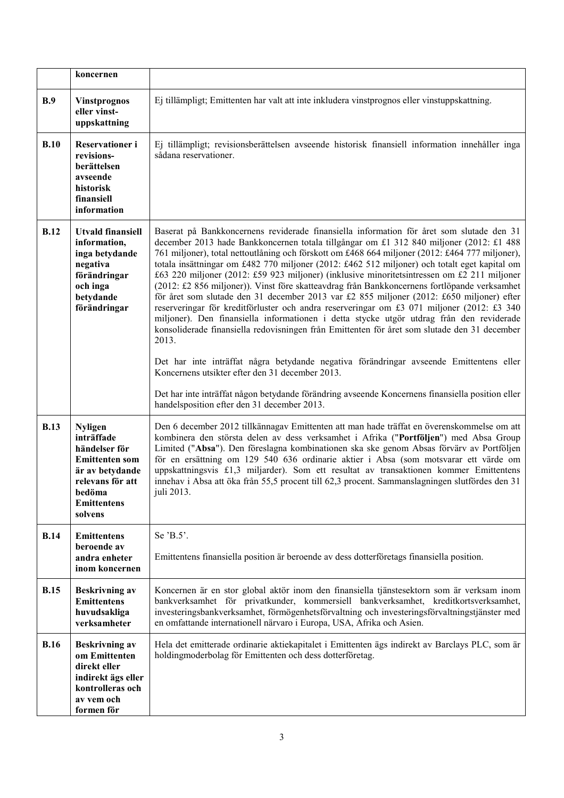|             | koncernen                                                                                                                                                |                                                                                                                                                                                                                                                                                                                                                                                                                                                                                                                                                                                                                                                                                                                                                                                                                                                                                                                                                                                                                                                                                                                                      |
|-------------|----------------------------------------------------------------------------------------------------------------------------------------------------------|--------------------------------------------------------------------------------------------------------------------------------------------------------------------------------------------------------------------------------------------------------------------------------------------------------------------------------------------------------------------------------------------------------------------------------------------------------------------------------------------------------------------------------------------------------------------------------------------------------------------------------------------------------------------------------------------------------------------------------------------------------------------------------------------------------------------------------------------------------------------------------------------------------------------------------------------------------------------------------------------------------------------------------------------------------------------------------------------------------------------------------------|
| B.9         | <b>Vinstprognos</b><br>eller vinst-<br>uppskattning                                                                                                      | Ej tillämpligt; Emittenten har valt att inte inkludera vinstprognos eller vinstuppskattning.                                                                                                                                                                                                                                                                                                                                                                                                                                                                                                                                                                                                                                                                                                                                                                                                                                                                                                                                                                                                                                         |
| B.10        | Reservationer i<br>revisions-<br>berättelsen<br>avseende<br>historisk<br>finansiell<br>information                                                       | Ej tillämpligt; revisionsberättelsen avseende historisk finansiell information innehåller inga<br>sådana reservationer.                                                                                                                                                                                                                                                                                                                                                                                                                                                                                                                                                                                                                                                                                                                                                                                                                                                                                                                                                                                                              |
| B.12        | <b>Utvald finansiell</b><br>information,<br>inga betydande<br>negativa<br>förändringar<br>och inga<br>betydande<br>förändringar                          | Baserat på Bankkoncernens reviderade finansiella information för året som slutade den 31<br>december 2013 hade Bankkoncernen totala tillgångar om £1 312 840 miljoner (2012: £1 488<br>761 miljoner), total nettoutlåning och förskott om £468 664 miljoner (2012: £464 777 miljoner),<br>totala insättningar om £482 770 miljoner (2012: £462 512 miljoner) och totalt eget kapital om<br>£63 220 miljoner (2012: £59 923 miljoner) (inklusive minoritetsintressen om £2 211 miljoner<br>(2012: £2 856 miljoner)). Vinst före skatteavdrag från Bankkoncernens fortlöpande verksamhet<br>för året som slutade den 31 december 2013 var £2 855 miljoner (2012: £650 miljoner) efter<br>reserveringar för kreditförluster och andra reserveringar om £3 071 miljoner (2012: £3 340<br>miljoner). Den finansiella informationen i detta stycke utgör utdrag från den reviderade<br>konsoliderade finansiella redovisningen från Emittenten för året som slutade den 31 december<br>2013.<br>Det har inte inträffat några betydande negativa förändringar avseende Emittentens eller<br>Koncernens utsikter efter den 31 december 2013. |
|             |                                                                                                                                                          | Det har inte inträffat någon betydande förändring avseende Koncernens finansiella position eller<br>handelsposition efter den 31 december 2013.                                                                                                                                                                                                                                                                                                                                                                                                                                                                                                                                                                                                                                                                                                                                                                                                                                                                                                                                                                                      |
| <b>B.13</b> | <b>Nyligen</b><br>inträffade<br>händelser för<br><b>Emittenten som</b><br>är av betydande<br>relevans för att<br>bedöma<br><b>Emittentens</b><br>solvens | Den 6 december 2012 tillkännagav Emittenten att man hade träffat en överenskommelse om att<br>kombinera den största delen av dess verksamhet i Afrika ("Portföljen") med Absa Group<br>Limited ("Absa"). Den föreslagna kombinationen ska ske genom Absas förvärv av Portföljen<br>för en ersättning om 129 540 636 ordinarie aktier i Absa (som motsvarar ett värde om<br>uppskattningsvis £1,3 miljarder). Som ett resultat av transaktionen kommer Emittentens<br>innehav i Absa att öka från 55,5 procent till 62,3 procent. Sammanslagningen slutfördes den 31<br>juli 2013.                                                                                                                                                                                                                                                                                                                                                                                                                                                                                                                                                    |
| <b>B.14</b> | <b>Emittentens</b><br>beroende av<br>andra enheter<br>inom koncernen                                                                                     | Se 'B.5'.<br>Emittentens finansiella position är beroende av dess dotterföretags finansiella position.                                                                                                                                                                                                                                                                                                                                                                                                                                                                                                                                                                                                                                                                                                                                                                                                                                                                                                                                                                                                                               |
| <b>B.15</b> | <b>Beskrivning av</b><br><b>Emittentens</b><br>huvudsakliga<br>verksamheter                                                                              | Koncernen är en stor global aktör inom den finansiella tjänstesektorn som är verksam inom<br>bankverksamhet för privatkunder, kommersiell bankverksamhet, kreditkortsverksamhet,<br>investeringsbankverksamhet, förmögenhetsförvaltning och investeringsförvaltningstjänster med<br>en omfattande internationell närvaro i Europa, USA, Afrika och Asien.                                                                                                                                                                                                                                                                                                                                                                                                                                                                                                                                                                                                                                                                                                                                                                            |
| <b>B.16</b> | <b>Beskrivning av</b><br>om Emittenten<br>direkt eller<br>indirekt ägs eller<br>kontrolleras och<br>av vem och<br>formen för                             | Hela det emitterade ordinarie aktiekapitalet i Emittenten ägs indirekt av Barclays PLC, som är<br>holdingmoderbolag för Emittenten och dess dotterföretag.                                                                                                                                                                                                                                                                                                                                                                                                                                                                                                                                                                                                                                                                                                                                                                                                                                                                                                                                                                           |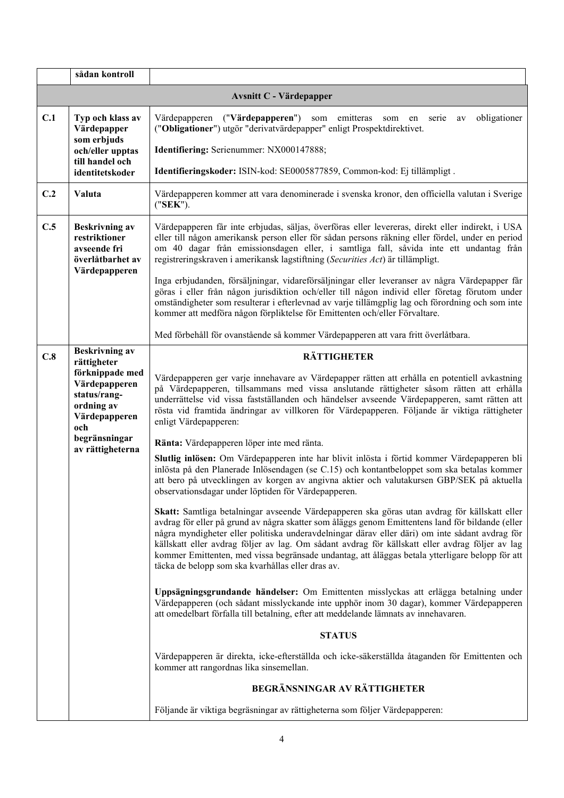|     | sådan kontroll                                                                         |                                                                                                                                                                                                                                                                                                                                                                                                                                                                                                                                                               |
|-----|----------------------------------------------------------------------------------------|---------------------------------------------------------------------------------------------------------------------------------------------------------------------------------------------------------------------------------------------------------------------------------------------------------------------------------------------------------------------------------------------------------------------------------------------------------------------------------------------------------------------------------------------------------------|
|     |                                                                                        | <b>Avsnitt C - Värdepapper</b>                                                                                                                                                                                                                                                                                                                                                                                                                                                                                                                                |
| C.1 | Typ och klass av<br>Värdepapper<br>som erbjuds                                         | Värdepapperen ("Värdepapperen") som emitteras<br>obligationer<br>serie<br>som<br>en<br>av<br>("Obligationer") utgör "derivatvärdepapper" enligt Prospektdirektivet.                                                                                                                                                                                                                                                                                                                                                                                           |
|     | och/eller upptas<br>till handel och                                                    | Identifiering: Serienummer: NX000147888;                                                                                                                                                                                                                                                                                                                                                                                                                                                                                                                      |
|     | identitetskoder                                                                        | Identifieringskoder: ISIN-kod: SE0005877859, Common-kod: Ej tillämpligt.                                                                                                                                                                                                                                                                                                                                                                                                                                                                                      |
| C.2 | Valuta                                                                                 | Värdepapperen kommer att vara denominerade i svenska kronor, den officiella valutan i Sverige<br>("SEK").                                                                                                                                                                                                                                                                                                                                                                                                                                                     |
| C.5 | <b>Beskrivning av</b><br>restriktioner<br>avseende fri<br>överlåtbarhet av             | Värdepapperen får inte erbjudas, säljas, överföras eller levereras, direkt eller indirekt, i USA<br>eller till någon amerikansk person eller för sådan persons räkning eller fördel, under en period<br>om 40 dagar från emissionsdagen eller, i samtliga fall, såvida inte ett undantag från<br>registreringskraven i amerikansk lagstiftning (Securities Act) är tillämpligt.                                                                                                                                                                               |
|     | Värdepapperen                                                                          | Inga erbjudanden, försäljningar, vidareförsäljningar eller leveranser av några Värdepapper får<br>göras i eller från någon jurisdiktion och/eller till någon individ eller företag förutom under<br>omständigheter som resulterar i efterlevnad av varje tillämgplig lag och förordning och som inte<br>kommer att medföra någon förpliktelse för Emittenten och/eller Förvaltare.                                                                                                                                                                            |
|     |                                                                                        | Med förbehåll för ovanstående så kommer Värdepapperen att vara fritt överlåtbara.                                                                                                                                                                                                                                                                                                                                                                                                                                                                             |
| C.8 | <b>Beskrivning av</b><br>rättigheter                                                   | <b>RÄTTIGHETER</b>                                                                                                                                                                                                                                                                                                                                                                                                                                                                                                                                            |
|     | förknippade med<br>Värdepapperen<br>status/rang-<br>ordning av<br>Värdepapperen<br>och | Värdepapperen ger varje innehavare av Värdepapper rätten att erhålla en potentiell avkastning<br>på Värdepapperen, tillsammans med vissa anslutande rättigheter såsom rätten att erhålla<br>underrättelse vid vissa fastställanden och händelser avseende Värdepapperen, samt rätten att<br>rösta vid framtida ändringar av villkoren för Värdepapperen. Följande är viktiga rättigheter<br>enligt Värdepapperen:                                                                                                                                             |
|     | begränsningar<br>av rättigheterna                                                      | Ränta: Värdepapperen löper inte med ränta.                                                                                                                                                                                                                                                                                                                                                                                                                                                                                                                    |
|     |                                                                                        | Slutlig inlösen: Om Värdepapperen inte har blivit inlösta i förtid kommer Värdepapperen bli<br>inlösta på den Planerade Inlösendagen (se C.15) och kontantbeloppet som ska betalas kommer<br>att bero på utvecklingen av korgen av angivna aktier och valutakursen GBP/SEK på aktuella<br>observationsdagar under löptiden för Värdepapperen.                                                                                                                                                                                                                 |
|     |                                                                                        | Skatt: Samtliga betalningar avseende Värdepapperen ska göras utan avdrag för källskatt eller<br>avdrag för eller på grund av några skatter som åläggs genom Emittentens land för bildande (eller<br>några myndigheter eller politiska underavdelningar därav eller däri) om inte sådant avdrag för<br>källskatt eller avdrag följer av lag. Om sådant avdrag för källskatt eller avdrag följer av lag<br>kommer Emittenten, med vissa begränsade undantag, att åläggas betala ytterligare belopp för att<br>täcka de belopp som ska kvarhållas eller dras av. |
|     |                                                                                        | Uppsägningsgrundande händelser: Om Emittenten misslyckas att erlägga betalning under<br>Värdepapperen (och sådant misslyckande inte upphör inom 30 dagar), kommer Värdepapperen<br>att omedelbart förfalla till betalning, efter att meddelande lämnats av innehavaren.                                                                                                                                                                                                                                                                                       |
|     |                                                                                        | <b>STATUS</b>                                                                                                                                                                                                                                                                                                                                                                                                                                                                                                                                                 |
|     |                                                                                        | Värdepapperen är direkta, icke-efterställda och icke-säkerställda åtaganden för Emittenten och<br>kommer att rangordnas lika sinsemellan.                                                                                                                                                                                                                                                                                                                                                                                                                     |
|     |                                                                                        | BEGRÄNSNINGAR AV RÄTTIGHETER                                                                                                                                                                                                                                                                                                                                                                                                                                                                                                                                  |
|     |                                                                                        | Följande är viktiga begräsningar av rättigheterna som följer Värdepapperen:                                                                                                                                                                                                                                                                                                                                                                                                                                                                                   |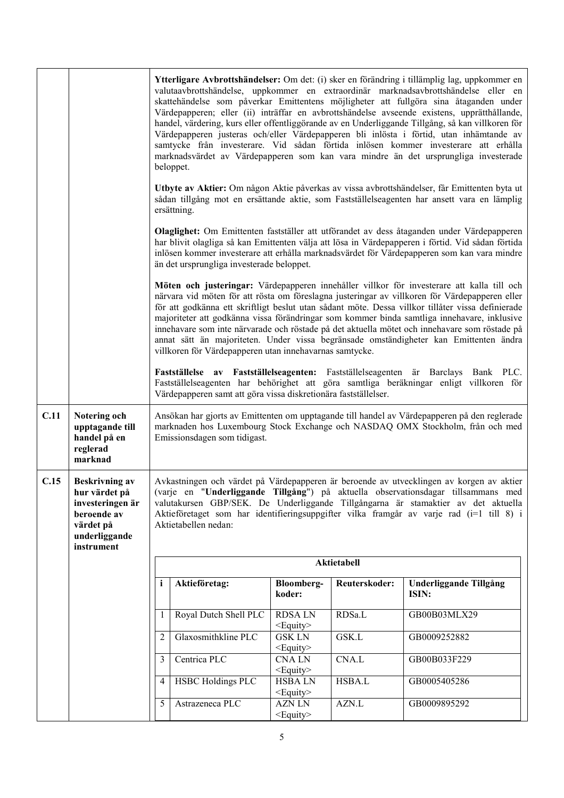|      |                                                                                                                       |                | beloppet.                                                       |                                    |               | Ytterligare Avbrottshändelser: Om det: (i) sker en förändring i tillämplig lag, uppkommer en<br>valutaavbrottshändelse, uppkommer en extraordinär marknadsavbrottshändelse eller en<br>skattehändelse som påverkar Emittentens möjligheter att fullgöra sina åtaganden under<br>Värdepapperen; eller (ii) inträffar en avbrottshändelse avseende existens, upprätthållande,<br>handel, värdering, kurs eller offentliggörande av en Underliggande Tillgång, så kan villkoren för<br>Värdepapperen justeras och/eller Värdepapperen bli inlösta i förtid, utan inhämtande av<br>samtycke från investerare. Vid sådan förtida inlösen kommer investerare att erhålla<br>marknadsvärdet av Värdepapperen som kan vara mindre än det ursprungliga investerade |
|------|-----------------------------------------------------------------------------------------------------------------------|----------------|-----------------------------------------------------------------|------------------------------------|---------------|-----------------------------------------------------------------------------------------------------------------------------------------------------------------------------------------------------------------------------------------------------------------------------------------------------------------------------------------------------------------------------------------------------------------------------------------------------------------------------------------------------------------------------------------------------------------------------------------------------------------------------------------------------------------------------------------------------------------------------------------------------------|
|      |                                                                                                                       |                | ersättning.                                                     |                                    |               | Utbyte av Aktier: Om någon Aktie påverkas av vissa avbrottshändelser, får Emittenten byta ut<br>sådan tillgång mot en ersättande aktie, som Fastställelseagenten har ansett vara en lämplig                                                                                                                                                                                                                                                                                                                                                                                                                                                                                                                                                               |
|      |                                                                                                                       |                | än det ursprungliga investerade beloppet.                       |                                    |               | Olaglighet: Om Emittenten fastställer att utförandet av dess åtaganden under Värdepapperen<br>har blivit olagliga så kan Emittenten välja att lösa in Värdepapperen i förtid. Vid sådan förtida<br>inlösen kommer investerare att erhålla marknadsvärdet för Värdepapperen som kan vara mindre                                                                                                                                                                                                                                                                                                                                                                                                                                                            |
|      |                                                                                                                       |                | villkoren för Värdepapperen utan innehavarnas samtycke.         |                                    |               | Möten och justeringar: Värdepapperen innehåller villkor för investerare att kalla till och<br>närvara vid möten för att rösta om föreslagna justeringar av villkoren för Värdepapperen eller<br>för att godkänna ett skriftligt beslut utan sådant möte. Dessa villkor tillåter vissa definierade<br>majoriteter att godkänna vissa förändringar som kommer binda samtliga innehavare, inklusive<br>innehavare som inte närvarade och röstade på det aktuella mötet och innehavare som röstade på<br>annat sätt än majoriteten. Under vissa begränsade omständigheter kan Emittenten ändra                                                                                                                                                                |
|      |                                                                                                                       |                | Värdepapperen samt att göra vissa diskretionära fastställelser. |                                    |               | Fastställelse av Fastställelseagenten: Fastställelseagenten är Barclays Bank PLC.<br>Fastställelseagenten har behörighet att göra samtliga beräkningar enligt villkoren för                                                                                                                                                                                                                                                                                                                                                                                                                                                                                                                                                                               |
| C.11 | Notering och<br>upptagande till<br>handel på en<br>reglerad<br>marknad                                                |                | Emissionsdagen som tidigast.                                    |                                    |               | Ansökan har gjorts av Emittenten om upptagande till handel av Värdepapperen på den reglerade<br>marknaden hos Luxembourg Stock Exchange och NASDAQ OMX Stockholm, från och med                                                                                                                                                                                                                                                                                                                                                                                                                                                                                                                                                                            |
| C.15 | <b>Beskrivning av</b><br>hur värdet på<br>investeringen är<br>beroende av<br>värdet på<br>underliggande<br>instrument |                | Aktietabellen nedan:                                            |                                    |               | Avkastningen och värdet på Värdepapperen är beroende av utvecklingen av korgen av aktier<br>(varje en "Underliggande Tillgång") på aktuella observationsdagar tillsammans med<br>valutakursen GBP/SEK. De Underliggande Tillgångarna är stamaktier av det aktuella<br>Aktieföretaget som har identifieringsuppgifter vilka framgår av varje rad (i=1 till 8) i                                                                                                                                                                                                                                                                                                                                                                                            |
|      |                                                                                                                       |                |                                                                 |                                    | Aktietabell   |                                                                                                                                                                                                                                                                                                                                                                                                                                                                                                                                                                                                                                                                                                                                                           |
|      |                                                                                                                       | $\mathbf{i}$   | Aktieföretag:                                                   | <b>Bloomberg-</b><br>koder:        | Reuterskoder: | Underliggande Tillgång<br>ISIN:                                                                                                                                                                                                                                                                                                                                                                                                                                                                                                                                                                                                                                                                                                                           |
|      |                                                                                                                       | 1              | Royal Dutch Shell PLC                                           | <b>RDSALN</b><br>$\leq$ Equity $>$ | RDSa.L        | GB00B03MLX29                                                                                                                                                                                                                                                                                                                                                                                                                                                                                                                                                                                                                                                                                                                                              |
|      |                                                                                                                       | $\overline{2}$ | Glaxosmithkline PLC                                             | <b>GSK LN</b><br>$\leq$ Equity $>$ | GSK.L         | GB0009252882                                                                                                                                                                                                                                                                                                                                                                                                                                                                                                                                                                                                                                                                                                                                              |
|      |                                                                                                                       | 3              | Centrica PLC                                                    | <b>CNALN</b><br>$\leq$ Equity $>$  | CNA.L         | GB00B033F229                                                                                                                                                                                                                                                                                                                                                                                                                                                                                                                                                                                                                                                                                                                                              |
|      |                                                                                                                       | $\overline{4}$ | <b>HSBC Holdings PLC</b>                                        | <b>HSBALN</b><br>$<$ Equity $>$    | HSBA.L        | GB0005405286                                                                                                                                                                                                                                                                                                                                                                                                                                                                                                                                                                                                                                                                                                                                              |
|      |                                                                                                                       | 5              | Astrazeneca PLC                                                 | <b>AZN LN</b><br>$<$ Equity $>$    | AZN.L         | GB0009895292                                                                                                                                                                                                                                                                                                                                                                                                                                                                                                                                                                                                                                                                                                                                              |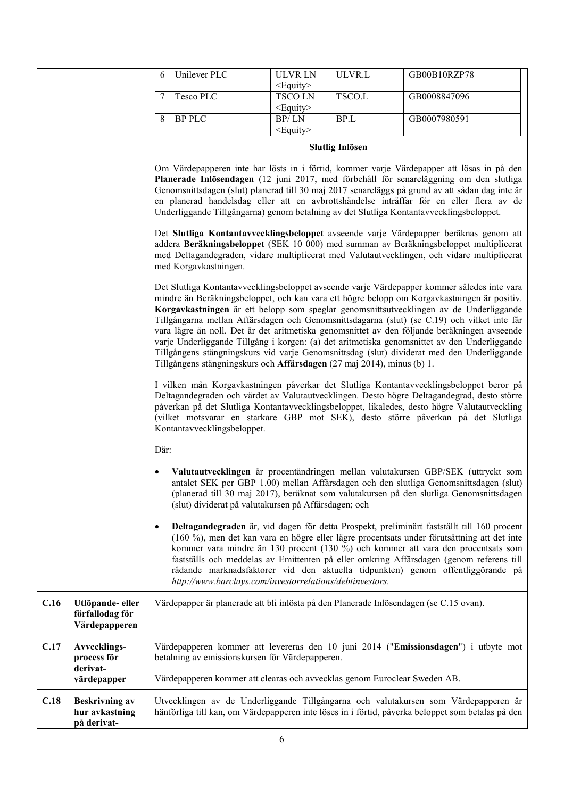|      |                                                        | 6         | Unilever PLC                                                              | <b>ULVRLN</b><br>$<$ Equity $>$                          | ULVR.L                 | GB00B10RZP78                                                                                                                                                                                                                                                                                                                                                                                                                                                                                                                                                                                                                                                                      |
|------|--------------------------------------------------------|-----------|---------------------------------------------------------------------------|----------------------------------------------------------|------------------------|-----------------------------------------------------------------------------------------------------------------------------------------------------------------------------------------------------------------------------------------------------------------------------------------------------------------------------------------------------------------------------------------------------------------------------------------------------------------------------------------------------------------------------------------------------------------------------------------------------------------------------------------------------------------------------------|
|      |                                                        | 7         | Tesco PLC                                                                 | <b>TSCOLN</b><br>$<$ Equity $>$                          | TSCO.L                 | GB0008847096                                                                                                                                                                                                                                                                                                                                                                                                                                                                                                                                                                                                                                                                      |
|      |                                                        | 8         | <b>BP PLC</b>                                                             | BP/LN                                                    | BP.L                   | GB0007980591                                                                                                                                                                                                                                                                                                                                                                                                                                                                                                                                                                                                                                                                      |
|      |                                                        |           |                                                                           | <equity></equity>                                        |                        |                                                                                                                                                                                                                                                                                                                                                                                                                                                                                                                                                                                                                                                                                   |
|      |                                                        |           |                                                                           |                                                          | <b>Slutlig Inlösen</b> |                                                                                                                                                                                                                                                                                                                                                                                                                                                                                                                                                                                                                                                                                   |
|      |                                                        |           |                                                                           |                                                          |                        | Om Värdepapperen inte har lösts in i förtid, kommer varje Värdepapper att lösas in på den<br>Planerade Inlösendagen (12 juni 2017, med förbehåll för senareläggning om den slutliga<br>Genomsnittsdagen (slut) planerad till 30 maj 2017 senareläggs på grund av att sådan dag inte är<br>en planerad handelsdag eller att en avbrottshändelse inträffar för en eller flera av de<br>Underliggande Tillgångarna) genom betalning av det Slutliga Kontantavvecklingsbeloppet.                                                                                                                                                                                                      |
|      |                                                        |           | med Korgavkastningen.                                                     |                                                          |                        | Det Slutliga Kontantavvecklingsbeloppet avseende varje Värdepapper beräknas genom att<br>addera Beräkningsbeloppet (SEK 10 000) med summan av Beräkningsbeloppet multiplicerat<br>med Deltagandegraden, vidare multiplicerat med Valutautvecklingen, och vidare multiplicerat                                                                                                                                                                                                                                                                                                                                                                                                     |
|      |                                                        |           | Tillgångens stängningskurs och Affärsdagen (27 maj 2014), minus (b) 1.    |                                                          |                        | Det Slutliga Kontantavvecklingsbeloppet avseende varje Värdepapper kommer således inte vara<br>mindre än Beräkningsbeloppet, och kan vara ett högre belopp om Korgavkastningen är positiv.<br>Korgavkastningen är ett belopp som speglar genomsnittsutvecklingen av de Underliggande<br>Tillgångarna mellan Affärsdagen och Genomsnittsdagarna (slut) (se C.19) och vilket inte får<br>vara lägre än noll. Det är det aritmetiska genomsnittet av den följande beräkningen avseende<br>varje Underliggande Tillgång i korgen: (a) det aritmetiska genomsnittet av den Underliggande<br>Tillgångens stängningskurs vid varje Genomsnittsdag (slut) dividerat med den Underliggande |
|      |                                                        |           | Kontantavvecklingsbeloppet.                                               |                                                          |                        | I vilken mån Korgavkastningen påverkar det Slutliga Kontantavvecklingsbeloppet beror på<br>Deltagandegraden och värdet av Valutautvecklingen. Desto högre Deltagandegrad, desto större<br>påverkan på det Slutliga Kontantavvecklingsbeloppet, likaledes, desto högre Valutautveckling<br>(vilket motsvarar en starkare GBP mot SEK), desto större påverkan på det Slutliga                                                                                                                                                                                                                                                                                                       |
|      |                                                        | Där:      |                                                                           |                                                          |                        |                                                                                                                                                                                                                                                                                                                                                                                                                                                                                                                                                                                                                                                                                   |
|      |                                                        |           |                                                                           | (slut) dividerat på valutakursen på Affärsdagen; och     |                        | Valutautvecklingen är procentändringen mellan valutakursen GBP/SEK (uttryckt som<br>antalet SEK per GBP 1.00) mellan Affärsdagen och den slutliga Genomsnittsdagen (slut)<br>(planerad till 30 maj 2017), beräknat som valutakursen på den slutliga Genomsnittsdagen                                                                                                                                                                                                                                                                                                                                                                                                              |
|      |                                                        | $\bullet$ |                                                                           | http://www.barclays.com/investorrelations/debtinvestors. |                        | Deltagandegraden är, vid dagen för detta Prospekt, preliminärt fastställt till 160 procent<br>(160 %), men det kan vara en högre eller lägre procentsats under förutsättning att det inte<br>kommer vara mindre än 130 procent (130 %) och kommer att vara den procentsats som<br>fastställs och meddelas av Emittenten på eller omkring Affärsdagen (genom referens till<br>rådande marknadsfaktorer vid den aktuella tidpunkten) genom offentliggörande på                                                                                                                                                                                                                      |
| C.16 | Utlöpande- eller<br>förfallodag för<br>Värdepapperen   |           |                                                                           |                                                          |                        | Värdepapper är planerade att bli inlösta på den Planerade Inlösendagen (se C.15 ovan).                                                                                                                                                                                                                                                                                                                                                                                                                                                                                                                                                                                            |
| C.17 | Avvecklings-<br>process för<br>derivat-                |           | betalning av emissionskursen för Värdepapperen.                           |                                                          |                        | Värdepapperen kommer att levereras den 10 juni 2014 ("Emissionsdagen") i utbyte mot                                                                                                                                                                                                                                                                                                                                                                                                                                                                                                                                                                                               |
|      | värdepapper                                            |           | Värdepapperen kommer att clearas och avvecklas genom Euroclear Sweden AB. |                                                          |                        |                                                                                                                                                                                                                                                                                                                                                                                                                                                                                                                                                                                                                                                                                   |
| C.18 | <b>Beskrivning av</b><br>hur avkastning<br>på derivat- |           |                                                                           |                                                          |                        | Utvecklingen av de Underliggande Tillgångarna och valutakursen som Värdepapperen är<br>hänförliga till kan, om Värdepapperen inte löses in i förtid, påverka beloppet som betalas på den                                                                                                                                                                                                                                                                                                                                                                                                                                                                                          |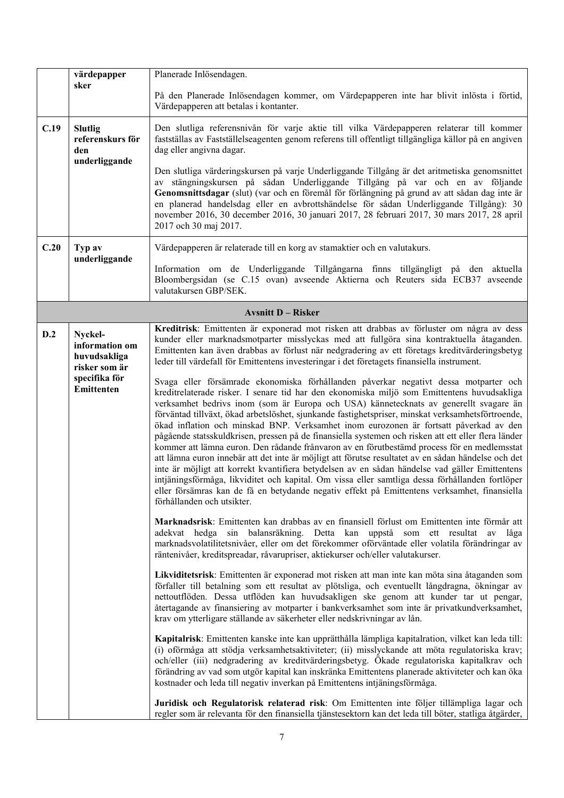|      | värdepapper                                                                               | Planerade Inlösendagen.                                                                                                                                                                                                                                                                                                                                                                                                                                                                                                                                                                                                                                                                                                                                                                                                                                                                                                                                                                                                                                                                                                                                                                                                                                                                                                                                                                                                                                                                                                                                                                                                                                                                                                                                                                                                                                                                                                                                                                                                                                                                                                                                                                                                                                                                                                                                                                                                                                                                                                                                                                                                                                                                                                                                                                                                                                                                                                                                                                                                                               |
|------|-------------------------------------------------------------------------------------------|-------------------------------------------------------------------------------------------------------------------------------------------------------------------------------------------------------------------------------------------------------------------------------------------------------------------------------------------------------------------------------------------------------------------------------------------------------------------------------------------------------------------------------------------------------------------------------------------------------------------------------------------------------------------------------------------------------------------------------------------------------------------------------------------------------------------------------------------------------------------------------------------------------------------------------------------------------------------------------------------------------------------------------------------------------------------------------------------------------------------------------------------------------------------------------------------------------------------------------------------------------------------------------------------------------------------------------------------------------------------------------------------------------------------------------------------------------------------------------------------------------------------------------------------------------------------------------------------------------------------------------------------------------------------------------------------------------------------------------------------------------------------------------------------------------------------------------------------------------------------------------------------------------------------------------------------------------------------------------------------------------------------------------------------------------------------------------------------------------------------------------------------------------------------------------------------------------------------------------------------------------------------------------------------------------------------------------------------------------------------------------------------------------------------------------------------------------------------------------------------------------------------------------------------------------------------------------------------------------------------------------------------------------------------------------------------------------------------------------------------------------------------------------------------------------------------------------------------------------------------------------------------------------------------------------------------------------------------------------------------------------------------------------------------------------|
|      | sker                                                                                      | På den Planerade Inlösendagen kommer, om Värdepapperen inte har blivit inlösta i förtid,<br>Värdepapperen att betalas i kontanter.                                                                                                                                                                                                                                                                                                                                                                                                                                                                                                                                                                                                                                                                                                                                                                                                                                                                                                                                                                                                                                                                                                                                                                                                                                                                                                                                                                                                                                                                                                                                                                                                                                                                                                                                                                                                                                                                                                                                                                                                                                                                                                                                                                                                                                                                                                                                                                                                                                                                                                                                                                                                                                                                                                                                                                                                                                                                                                                    |
| C.19 | <b>Slutlig</b><br>referenskurs för<br>den<br>underliggande                                | Den slutliga referensnivån för varje aktie till vilka Värdepapperen relaterar till kommer<br>fastställas av Fastställelseagenten genom referens till offentligt tillgängliga källor på en angiven<br>dag eller angivna dagar.<br>Den slutliga värderingskursen på varje Underliggande Tillgång är det aritmetiska genomsnittet<br>av stängningskursen på sådan Underliggande Tillgång på var och en av följande<br>Genomsnittsdagar (slut) (var och en föremål för förlängning på grund av att sådan dag inte är<br>en planerad handelsdag eller en avbrottshändelse för sådan Underliggande Tillgång): 30<br>november 2016, 30 december 2016, 30 januari 2017, 28 februari 2017, 30 mars 2017, 28 april<br>2017 och 30 maj 2017.                                                                                                                                                                                                                                                                                                                                                                                                                                                                                                                                                                                                                                                                                                                                                                                                                                                                                                                                                                                                                                                                                                                                                                                                                                                                                                                                                                                                                                                                                                                                                                                                                                                                                                                                                                                                                                                                                                                                                                                                                                                                                                                                                                                                                                                                                                                     |
| C.20 | Typ av                                                                                    | Värdepapperen är relaterade till en korg av stamaktier och en valutakurs.                                                                                                                                                                                                                                                                                                                                                                                                                                                                                                                                                                                                                                                                                                                                                                                                                                                                                                                                                                                                                                                                                                                                                                                                                                                                                                                                                                                                                                                                                                                                                                                                                                                                                                                                                                                                                                                                                                                                                                                                                                                                                                                                                                                                                                                                                                                                                                                                                                                                                                                                                                                                                                                                                                                                                                                                                                                                                                                                                                             |
|      | underliggande                                                                             | Information om de Underliggande Tillgångarna finns tillgängligt på den aktuella<br>Bloombergsidan (se C.15 ovan) avseende Aktierna och Reuters sida ECB37 avseende<br>valutakursen GBP/SEK.                                                                                                                                                                                                                                                                                                                                                                                                                                                                                                                                                                                                                                                                                                                                                                                                                                                                                                                                                                                                                                                                                                                                                                                                                                                                                                                                                                                                                                                                                                                                                                                                                                                                                                                                                                                                                                                                                                                                                                                                                                                                                                                                                                                                                                                                                                                                                                                                                                                                                                                                                                                                                                                                                                                                                                                                                                                           |
|      |                                                                                           | <b>Avsnitt D - Risker</b>                                                                                                                                                                                                                                                                                                                                                                                                                                                                                                                                                                                                                                                                                                                                                                                                                                                                                                                                                                                                                                                                                                                                                                                                                                                                                                                                                                                                                                                                                                                                                                                                                                                                                                                                                                                                                                                                                                                                                                                                                                                                                                                                                                                                                                                                                                                                                                                                                                                                                                                                                                                                                                                                                                                                                                                                                                                                                                                                                                                                                             |
| D.2  | Nyckel-<br>information om<br>huvudsakliga<br>risker som är<br>specifika för<br>Emittenten | Kreditrisk: Emittenten är exponerad mot risken att drabbas av förluster om några av dess<br>kunder eller marknadsmotparter misslyckas med att fullgöra sina kontraktuella åtaganden.<br>Emittenten kan även drabbas av förlust när nedgradering av ett företags kreditvärderingsbetyg<br>leder till värdefall för Emittentens investeringar i det företagets finansiella instrument.<br>Svaga eller försämrade ekonomiska förhållanden påverkar negativt dessa motparter och<br>kreditrelaterade risker. I senare tid har den ekonomiska miljö som Emittentens huvudsakliga<br>verksamhet bedrivs inom (som är Europa och USA) kännetecknats av generellt svagare än<br>förväntad tillväxt, ökad arbetslöshet, sjunkande fastighetspriser, minskat verksamhetsförtroende,<br>ökad inflation och minskad BNP. Verksamhet inom eurozonen är fortsatt påverkad av den<br>pågående statsskuldkrisen, pressen på de finansiella systemen och risken att ett eller flera länder<br>kommer att lämna euron. Den rådande frånvaron av en förutbestämd process för en medlemsstat<br>att lämna euron innebär att det inte är möjligt att förutse resultatet av en sådan händelse och det<br>inte är möjligt att korrekt kvantifiera betydelsen av en sådan händelse vad gäller Emittentens<br>intjäningsförmåga, likviditet och kapital. Om vissa eller samtliga dessa förhållanden fortlöper<br>eller försämras kan de få en betydande negativ effekt på Emittentens verksamhet, finansiella<br>förhållanden och utsikter.<br>Marknadsrisk: Emittenten kan drabbas av en finansiell förlust om Emittenten inte förmår att<br>adekvat hedga sin balansräkning. Detta kan uppstå som ett resultat av låga<br>marknadsvolatilitetsnivåer, eller om det förekommer oförväntade eller volatila förändringar av<br>räntenivåer, kreditspreadar, råvarupriser, aktiekurser och/eller valutakurser.<br>Likviditetsrisk: Emittenten är exponerad mot risken att man inte kan möta sina åtaganden som<br>förfaller till betalning som ett resultat av plötsliga, och eventuellt långdragna, ökningar av<br>nettoutflöden. Dessa utflöden kan huvudsakligen ske genom att kunder tar ut pengar,<br>återtagande av finansiering av motparter i bankverksamhet som inte är privatkundverksamhet,<br>krav om ytterligare ställande av säkerheter eller nedskrivningar av lån.<br>Kapitalrisk: Emittenten kanske inte kan upprätthålla lämpliga kapitalration, vilket kan leda till:<br>(i) oförmåga att stödja verksamhetsaktiviteter; (ii) misslyckande att möta regulatoriska krav;<br>och/eller (iii) nedgradering av kreditvärderingsbetyg. Ökade regulatoriska kapitalkrav och<br>förändring av vad som utgör kapital kan inskränka Emittentens planerade aktiviteter och kan öka<br>kostnader och leda till negativ inverkan på Emittentens intjäningsförmåga.<br>Juridisk och Regulatorisk relaterad risk: Om Emittenten inte följer tillämpliga lagar och<br>regler som är relevanta för den finansiella tjänstesektorn kan det leda till böter, statliga åtgärder, |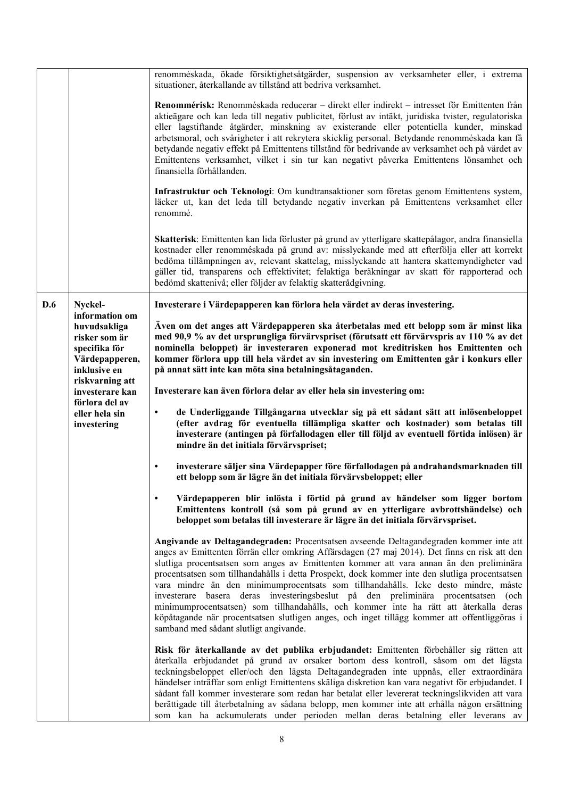|     |                                                                                                                                                                                             | renomméskada, ökade försiktighetsåtgärder, suspension av verksamheter eller, i extrema<br>situationer, återkallande av tillstånd att bedriva verksamhet.                                                                                                                                                                                                                                                                                                                                                                                                                                                                                                                                                                                                                                           |
|-----|---------------------------------------------------------------------------------------------------------------------------------------------------------------------------------------------|----------------------------------------------------------------------------------------------------------------------------------------------------------------------------------------------------------------------------------------------------------------------------------------------------------------------------------------------------------------------------------------------------------------------------------------------------------------------------------------------------------------------------------------------------------------------------------------------------------------------------------------------------------------------------------------------------------------------------------------------------------------------------------------------------|
|     |                                                                                                                                                                                             | Renommérisk: Renomméskada reducerar - direkt eller indirekt - intresset för Emittenten från<br>aktieägare och kan leda till negativ publicitet, förlust av intäkt, juridiska tvister, regulatoriska<br>eller lagstiftande åtgärder, minskning av existerande eller potentiella kunder, minskad<br>arbetsmoral, och svårigheter i att rekrytera skicklig personal. Betydande renomméskada kan få<br>betydande negativ effekt på Emittentens tillstånd för bedrivande av verksamhet och på värdet av<br>Emittentens verksamhet, vilket i sin tur kan negativt påverka Emittentens lönsamhet och<br>finansiella förhållanden.                                                                                                                                                                         |
|     |                                                                                                                                                                                             | Infrastruktur och Teknologi: Om kundtransaktioner som företas genom Emittentens system,<br>läcker ut, kan det leda till betydande negativ inverkan på Emittentens verksamhet eller<br>renommé.                                                                                                                                                                                                                                                                                                                                                                                                                                                                                                                                                                                                     |
|     |                                                                                                                                                                                             | Skatterisk: Emittenten kan lida förluster på grund av ytterligare skattepålagor, andra finansiella<br>kostnader eller renomméskada på grund av: misslyckande med att efterfölja eller att korrekt<br>bedöma tillämpningen av, relevant skattelag, misslyckande att hantera skattemyndigheter vad<br>gäller tid, transparens och effektivitet; felaktiga beräkningar av skatt för rapporterad och<br>bedömd skattenivå; eller följder av felaktig skatterådgivning.                                                                                                                                                                                                                                                                                                                                 |
| D.6 | Nyckel-                                                                                                                                                                                     | Investerare i Värdepapperen kan förlora hela värdet av deras investering.                                                                                                                                                                                                                                                                                                                                                                                                                                                                                                                                                                                                                                                                                                                          |
|     | information om<br>huvudsakliga<br>risker som är<br>specifika för<br>Värdepapperen,<br>inklusive en<br>riskvarning att<br>investerare kan<br>förlora del av<br>eller hela sin<br>investering | Även om det anges att Värdepapperen ska återbetalas med ett belopp som är minst lika<br>med 90,9 % av det ursprungliga förvärvspriset (förutsatt ett förvärvspris av 110 % av det<br>nominella beloppet) är investeraren exponerad mot kreditrisken hos Emittenten och<br>kommer förlora upp till hela värdet av sin investering om Emittenten går i konkurs eller<br>på annat sätt inte kan möta sina betalningsåtaganden.                                                                                                                                                                                                                                                                                                                                                                        |
|     |                                                                                                                                                                                             | Investerare kan även förlora delar av eller hela sin investering om:                                                                                                                                                                                                                                                                                                                                                                                                                                                                                                                                                                                                                                                                                                                               |
|     |                                                                                                                                                                                             | de Underliggande Tillgångarna utvecklar sig på ett sådant sätt att inlösenbeloppet<br>$\bullet$<br>(efter avdrag för eventuella tillämpliga skatter och kostnader) som betalas till<br>investerare (antingen på förfallodagen eller till följd av eventuell förtida inlösen) är<br>mindre än det initiala förvärvspriset;                                                                                                                                                                                                                                                                                                                                                                                                                                                                          |
|     |                                                                                                                                                                                             | investerare säljer sina Värdepapper före förfallodagen på andrahandsmarknaden till<br>$\bullet$<br>ett belopp som är lägre än det initiala förvärvsbeloppet; eller                                                                                                                                                                                                                                                                                                                                                                                                                                                                                                                                                                                                                                 |
|     |                                                                                                                                                                                             | Värdepapperen blir inlösta i förtid på grund av händelser som ligger bortom<br>Emittentens kontroll (så som på grund av en ytterligare avbrottshändelse) och<br>beloppet som betalas till investerare är lägre än det initiala förvärvspriset.                                                                                                                                                                                                                                                                                                                                                                                                                                                                                                                                                     |
|     |                                                                                                                                                                                             | Angivande av Deltagandegraden: Procentsatsen avseende Deltagandegraden kommer inte att<br>anges av Emittenten förrän eller omkring Affärsdagen (27 maj 2014). Det finns en risk att den<br>slutliga procentsatsen som anges av Emittenten kommer att vara annan än den preliminära<br>procentsatsen som tillhandahålls i detta Prospekt, dock kommer inte den slutliga procentsatsen<br>vara mindre än den minimumprocentsats som tillhandahålls. Icke desto mindre, måste<br>investerare basera deras investeringsbeslut på den preliminära procentsatsen (och<br>minimumprocentsatsen) som tillhandahålls, och kommer inte ha rätt att återkalla deras<br>köpåtagande när procentsatsen slutligen anges, och inget tillägg kommer att offentliggöras i<br>samband med sådant slutligt angivande. |
|     |                                                                                                                                                                                             | Risk för återkallande av det publika erbjudandet: Emittenten förbehåller sig rätten att<br>återkalla erbjudandet på grund av orsaker bortom dess kontroll, såsom om det lägsta<br>teckningsbeloppet eller/och den lägsta Deltagandegraden inte uppnås, eller extraordinära<br>händelser inträffar som enligt Emittentens skäliga diskretion kan vara negativt för erbjudandet. I<br>sådant fall kommer investerare som redan har betalat eller levererat teckningslikviden att vara<br>berättigade till återbetalning av sådana belopp, men kommer inte att erhålla någon ersättning<br>som kan ha ackumulerats under perioden mellan deras betalning eller leverans av                                                                                                                            |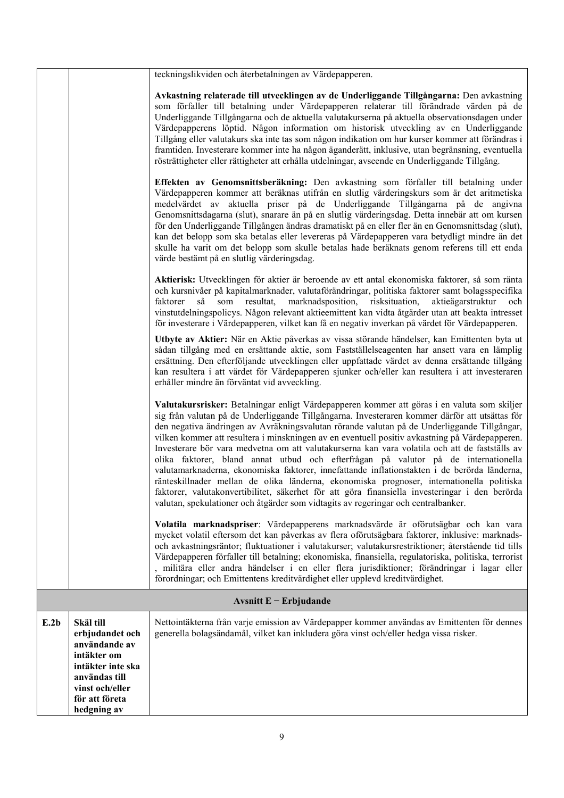|      |                                                                                                                       | teckningslikviden och återbetalningen av Värdepapperen.                                                                                                                                                                                                                                                                                                                                                                                                                                                                                                                                                                                                                                                                                                                                                                                                                                                                                                                     |  |  |  |
|------|-----------------------------------------------------------------------------------------------------------------------|-----------------------------------------------------------------------------------------------------------------------------------------------------------------------------------------------------------------------------------------------------------------------------------------------------------------------------------------------------------------------------------------------------------------------------------------------------------------------------------------------------------------------------------------------------------------------------------------------------------------------------------------------------------------------------------------------------------------------------------------------------------------------------------------------------------------------------------------------------------------------------------------------------------------------------------------------------------------------------|--|--|--|
|      |                                                                                                                       | Avkastning relaterade till utvecklingen av de Underliggande Tillgångarna: Den avkastning<br>som förfaller till betalning under Värdepapperen relaterar till förändrade värden på de<br>Underliggande Tillgångarna och de aktuella valutakurserna på aktuella observationsdagen under<br>Värdepapperens löptid. Någon information om historisk utveckling av en Underliggande<br>Tillgång eller valutakurs ska inte tas som någon indikation om hur kurser kommer att förändras i<br>framtiden. Investerare kommer inte ha någon äganderätt, inklusive, utan begränsning, eventuella<br>rösträttigheter eller rättigheter att erhålla utdelningar, avseende en Underliggande Tillgång.                                                                                                                                                                                                                                                                                       |  |  |  |
|      |                                                                                                                       | Effekten av Genomsnittsberäkning: Den avkastning som förfaller till betalning under<br>Värdepapperen kommer att beräknas utifrån en slutlig värderingskurs som är det aritmetiska<br>medelvärdet av aktuella priser på de Underliggande Tillgångarna på de angivna<br>Genomsnittsdagarna (slut), snarare än på en slutlig värderingsdag. Detta innebär att om kursen<br>för den Underliggande Tillgången ändras dramatiskt på en eller fler än en Genomsnittsdag (slut),<br>kan det belopp som ska betalas eller levereras på Värdepapperen vara betydligt mindre än det<br>skulle ha varit om det belopp som skulle betalas hade beräknats genom referens till ett enda<br>värde bestämt på en slutlig värderingsdag.                                                                                                                                                                                                                                                      |  |  |  |
|      |                                                                                                                       | Aktierisk: Utvecklingen för aktier är beroende av ett antal ekonomiska faktorer, så som ränta<br>och kursnivåer på kapitalmarknader, valutaförändringar, politiska faktorer samt bolagsspecifika<br>marknadsposition, risksituation,<br>faktorer<br>så<br>som<br>resultat,<br>aktieägarstruktur<br>och<br>vinstutdelningspolicys. Någon relevant aktieemittent kan vidta åtgärder utan att beakta intresset<br>för investerare i Värdepapperen, vilket kan få en negativ inverkan på värdet för Värdepapperen.                                                                                                                                                                                                                                                                                                                                                                                                                                                              |  |  |  |
|      |                                                                                                                       | Utbyte av Aktier: När en Aktie påverkas av vissa störande händelser, kan Emittenten byta ut<br>sådan tillgång med en ersättande aktie, som Fastställelseagenten har ansett vara en lämplig<br>ersättning. Den efterföljande utvecklingen eller uppfattade värdet av denna ersättande tillgång<br>kan resultera i att värdet för Värdepapperen sjunker och/eller kan resultera i att investeraren<br>erhåller mindre än förväntat vid avveckling.                                                                                                                                                                                                                                                                                                                                                                                                                                                                                                                            |  |  |  |
|      |                                                                                                                       | Valutakursrisker: Betalningar enligt Värdepapperen kommer att göras i en valuta som skiljer<br>sig från valutan på de Underliggande Tillgångarna. Investeraren kommer därför att utsättas för<br>den negativa ändringen av Avräkningsvalutan rörande valutan på de Underliggande Tillgångar,<br>vilken kommer att resultera i minskningen av en eventuell positiv avkastning på Värdepapperen.<br>Investerare bör vara medvetna om att valutakurserna kan vara volatila och att de fastställs av<br>olika faktorer, bland annat utbud och efterfrågan på valutor på de internationella<br>valutamarknaderna, ekonomiska faktorer, innefattande inflationstakten i de berörda länderna,<br>ränteskillnader mellan de olika länderna, ekonomiska prognoser, internationella politiska<br>faktorer, valutakonvertibilitet, säkerhet för att göra finansiella investeringar i den berörda<br>valutan, spekulationer och åtgärder som vidtagits av regeringar och centralbanker. |  |  |  |
|      |                                                                                                                       | Volatila marknadspriser: Värdepapperens marknadsvärde är oförutsägbar och kan vara<br>mycket volatil eftersom det kan påverkas av flera oförutsägbara faktorer, inklusive: marknads-<br>och avkastningsräntor; fluktuationer i valutakurser; valutakursrestriktioner; återstående tid tills<br>Värdepapperen förfaller till betalning; ekonomiska, finansiella, regulatoriska, politiska, terrorist<br>militära eller andra händelser i en eller flera jurisdiktioner; förändringar i lagar eller<br>förordningar; och Emittentens kreditvärdighet eller upplevd kreditvärdighet.                                                                                                                                                                                                                                                                                                                                                                                           |  |  |  |
|      | Avsnitt $E$ – Erbjudande                                                                                              |                                                                                                                                                                                                                                                                                                                                                                                                                                                                                                                                                                                                                                                                                                                                                                                                                                                                                                                                                                             |  |  |  |
| E.2b | Skäl till<br>erbjudandet och<br>användande av<br>intäkter om<br>intäkter inte ska<br>användas till<br>vinst och/eller | Nettointäkterna från varje emission av Värdepapper kommer användas av Emittenten för dennes<br>generella bolagsändamål, vilket kan inkludera göra vinst och/eller hedga vissa risker.                                                                                                                                                                                                                                                                                                                                                                                                                                                                                                                                                                                                                                                                                                                                                                                       |  |  |  |
|      | för att företa<br>hedgning av                                                                                         |                                                                                                                                                                                                                                                                                                                                                                                                                                                                                                                                                                                                                                                                                                                                                                                                                                                                                                                                                                             |  |  |  |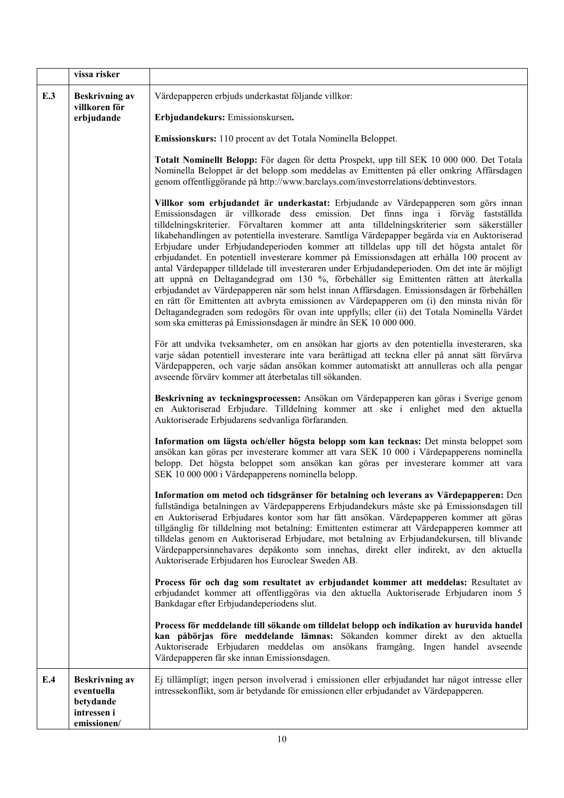|     | vissa risker                                                                   |                                                                                                                                                                                                                                                                                                                                                                                                                                                                                                                                                                                                                                                                                                                                                                                                                                                                                                                                                                                                                                                                                                                           |
|-----|--------------------------------------------------------------------------------|---------------------------------------------------------------------------------------------------------------------------------------------------------------------------------------------------------------------------------------------------------------------------------------------------------------------------------------------------------------------------------------------------------------------------------------------------------------------------------------------------------------------------------------------------------------------------------------------------------------------------------------------------------------------------------------------------------------------------------------------------------------------------------------------------------------------------------------------------------------------------------------------------------------------------------------------------------------------------------------------------------------------------------------------------------------------------------------------------------------------------|
| E.3 | <b>Beskrivning av</b><br>villkoren för<br>erbjudande                           | Värdepapperen erbjuds underkastat följande villkor:<br>Erbjudandekurs: Emissionskursen.                                                                                                                                                                                                                                                                                                                                                                                                                                                                                                                                                                                                                                                                                                                                                                                                                                                                                                                                                                                                                                   |
|     |                                                                                | Emissionskurs: 110 procent av det Totala Nominella Beloppet.                                                                                                                                                                                                                                                                                                                                                                                                                                                                                                                                                                                                                                                                                                                                                                                                                                                                                                                                                                                                                                                              |
|     |                                                                                | Totalt Nominellt Belopp: För dagen för detta Prospekt, upp till SEK 10 000 000. Det Totala<br>Nominella Beloppet är det belopp som meddelas av Emittenten på eller omkring Affärsdagen<br>genom offentliggörande på http://www.barclays.com/investorrelations/debtinvestors.                                                                                                                                                                                                                                                                                                                                                                                                                                                                                                                                                                                                                                                                                                                                                                                                                                              |
|     |                                                                                | Villkor som erbjudandet är underkastat: Erbjudande av Värdepapperen som görs innan<br>Emissionsdagen är villkorade dess emission. Det finns inga i förväg fastställda<br>tilldelningskriterier. Förvaltaren kommer att anta tilldelningskriterier som säkerställer<br>likabehandlingen av potentiella investerare. Samtliga Värdepapper begärda via en Auktoriserad<br>Erbjudare under Erbjudandeperioden kommer att tilldelas upp till det högsta antalet för<br>erbjudandet. En potentiell investerare kommer på Emissionsdagen att erhålla 100 procent av<br>antal Värdepapper tilldelade till investeraren under Erbjudandeperioden. Om det inte är möjligt<br>att uppnå en Deltagandegrad om 130 %, förbehåller sig Emittenten rätten att återkalla<br>erbjudandet av Värdepapperen när som helst innan Affärsdagen. Emissionsdagen är förbehållen<br>en rätt för Emittenten att avbryta emissionen av Värdepapperen om (i) den minsta nivån för<br>Deltagandegraden som redogörs för ovan inte uppfylls; eller (ii) det Totala Nominella Värdet<br>som ska emitteras på Emissionsdagen är mindre än SEK 10 000 000. |
|     |                                                                                | För att undvika tveksamheter, om en ansökan har gjorts av den potentiella investeraren, ska<br>varje sådan potentiell investerare inte vara berättigad att teckna eller på annat sätt förvärva<br>Värdepapperen, och varje sådan ansökan kommer automatiskt att annulleras och alla pengar<br>avseende förvärv kommer att återbetalas till sökanden.                                                                                                                                                                                                                                                                                                                                                                                                                                                                                                                                                                                                                                                                                                                                                                      |
|     |                                                                                | Beskrivning av teckningsprocessen: Ansökan om Värdepapperen kan göras i Sverige genom<br>en Auktoriserad Erbjudare. Tilldelning kommer att ske i enlighet med den aktuella<br>Auktoriserade Erbjudarens sedvanliga förfaranden.                                                                                                                                                                                                                                                                                                                                                                                                                                                                                                                                                                                                                                                                                                                                                                                                                                                                                           |
|     |                                                                                | Information om lägsta och/eller högsta belopp som kan tecknas: Det minsta beloppet som<br>ansökan kan göras per investerare kommer att vara SEK 10 000 i Värdepapperens nominella<br>belopp. Det högsta beloppet som ansökan kan göras per investerare kommer att vara<br>SEK 10 000 000 i Värdepapperens nominella belopp.                                                                                                                                                                                                                                                                                                                                                                                                                                                                                                                                                                                                                                                                                                                                                                                               |
|     |                                                                                | Information om metod och tidsgränser för betalning och leverans av Värdepapperen: Den<br>fullständiga betalningen av Värdepapperens Erbjudandekurs måste ske på Emissionsdagen till<br>en Auktoriserad Erbjudares kontor som har fått ansökan. Värdepapperen kommer att göras<br>tillgänglig för tilldelning mot betalning: Emittenten estimerar att Värdepapperen kommer att<br>tilldelas genom en Auktoriserad Erbjudare, mot betalning av Erbjudandekursen, till blivande<br>Värdepappersinnehavares depåkonto som innehas, direkt eller indirekt, av den aktuella<br>Auktoriserade Erbjudaren hos Euroclear Sweden AB.                                                                                                                                                                                                                                                                                                                                                                                                                                                                                                |
|     |                                                                                | Process för och dag som resultatet av erbjudandet kommer att meddelas: Resultatet av<br>erbjudandet kommer att offentliggöras via den aktuella Auktoriserade Erbjudaren inom 5<br>Bankdagar efter Erbjudandeperiodens slut.                                                                                                                                                                                                                                                                                                                                                                                                                                                                                                                                                                                                                                                                                                                                                                                                                                                                                               |
|     |                                                                                | Process för meddelande till sökande om tilldelat belopp och indikation av huruvida handel<br>kan påbörjas före meddelande lämnas: Sökanden kommer direkt av den aktuella<br>Auktoriserade Erbjudaren meddelas om ansökans framgång. Ingen handel avseende<br>Värdepapperen får ske innan Emissionsdagen.                                                                                                                                                                                                                                                                                                                                                                                                                                                                                                                                                                                                                                                                                                                                                                                                                  |
| E.4 | <b>Beskrivning av</b><br>eventuella<br>betydande<br>intressen i<br>emissionen/ | Ej tillämpligt; ingen person involverad i emissionen eller erbjudandet har något intresse eller<br>intressekonflikt, som är betydande för emissionen eller erbjudandet av Värdepapperen.                                                                                                                                                                                                                                                                                                                                                                                                                                                                                                                                                                                                                                                                                                                                                                                                                                                                                                                                  |